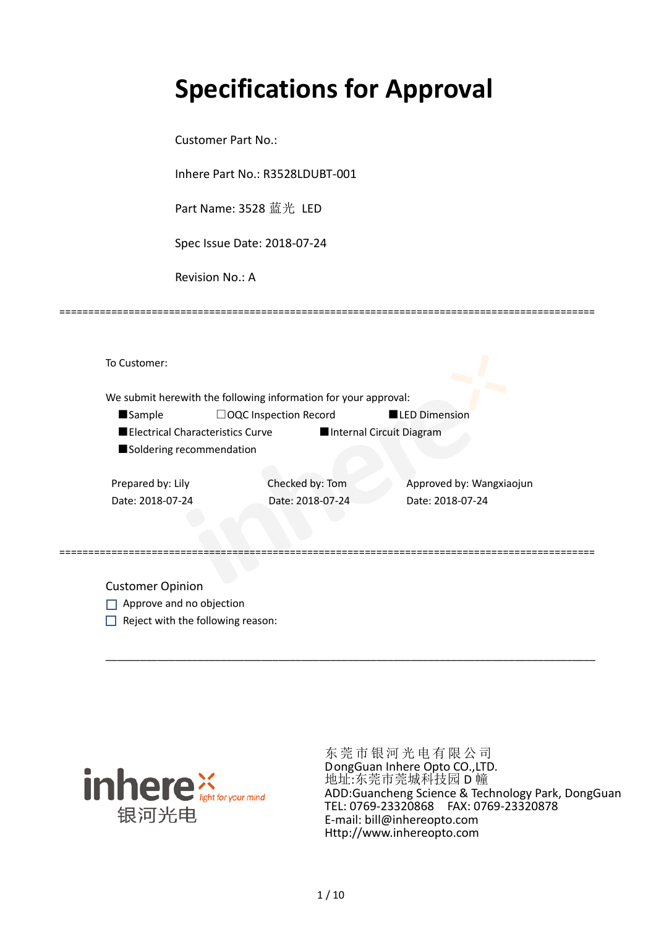# **Specifications for Approval**

Customer Part No.:

Inhere Part No.: R3528LDUBT-001

Part Name: 3528 蓝光 LED

Spec Issue Date: 2018-07-24

Revision No.: A

|                                  | We submit herewith the following information for your approval: |                          |
|----------------------------------|-----------------------------------------------------------------|--------------------------|
| <b>Sample</b>                    | $\Box$ OQC Inspection Record                                    | <b>LED Dimension</b>     |
| Electrical Characteristics Curve |                                                                 | Internal Circuit Diagram |
| Soldering recommendation         |                                                                 |                          |
|                                  |                                                                 |                          |
| Prepared by: Lily                | Checked by: Tom                                                 | Approved by: Wangxiaojun |
| Date: 2018-07-24                 | Date: 2018-07-24                                                | Date: 2018-07-24         |
|                                  |                                                                 |                          |
|                                  |                                                                 |                          |

\_\_\_\_\_\_\_\_\_\_\_\_\_\_\_\_\_\_\_\_\_\_\_\_\_\_\_\_\_\_\_\_\_\_\_\_\_\_\_\_\_\_\_\_\_\_\_\_\_\_\_\_\_\_\_\_\_\_\_\_\_\_\_\_\_\_\_\_\_\_\_\_\_\_\_\_\_\_\_\_\_\_\_\_\_

=============================================================================================

Customer Opinion

- Approve and no objection
- $\Box$  Reject with the following reason:



东莞市银河光电有限公司 DongGuan Inhere Opto CO.,LTD. 地址:东莞市莞城科技园 D 幢 ADD:Guancheng Science & Technology Park, DongGuan TEL: 0769-23320868 FAX: 0769-23320878 E-mail: bill@inhereopto.com Http://www.inhereopto.com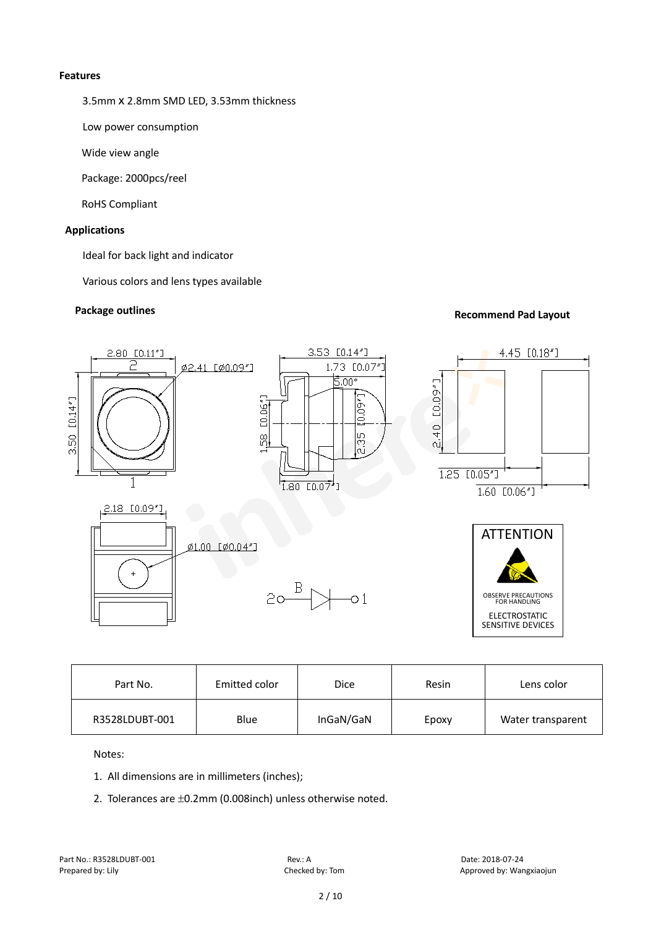#### **Features**

3.5mmⅹ2.8mm SMD LED, 3.53mm thickness

Low power consumption

Wide view angle

Package: 2000pcs/reel

RoHS Compliant

#### **Applications**

Ideal for back light and indicator

Various colors and lens types available

## **Package outlines Recommend Pad Layout Recommend Pad Layout**



| Part No.       | Emitted color | <b>Dice</b> | Resin | Lens color        |
|----------------|---------------|-------------|-------|-------------------|
| R3528LDUBT-001 | Blue          | InGaN/GaN   | Epoxy | Water transparent |

Notes:

- 1. All dimensions are in millimeters (inches);
- 2. Tolerances are ±0.2mm (0.008inch) unless otherwise noted.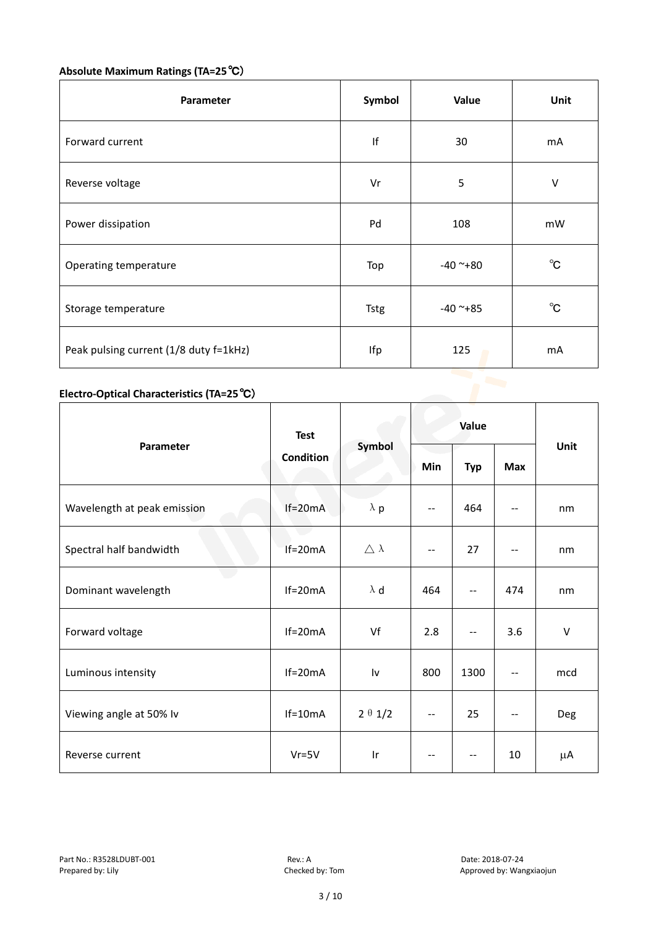# **Absolute Maximum Ratings (TA=25**℃)

| Parameter                              | Symbol      | Value      | Unit         |
|----------------------------------------|-------------|------------|--------------|
| Forward current                        | If          | 30         | mA           |
| Reverse voltage                        | Vr          | 5          | V            |
| Power dissipation                      | Pd          | 108        | mW           |
| Operating temperature<br>Top           |             | $-40$ ~+80 | $^{\circ}$ C |
| Storage temperature                    | <b>Tstg</b> | $-40$ ~+85 |              |
| Peak pulsing current (1/8 duty f=1kHz) | Ifp         | 125        | mA           |

### **Electro-Optical Characteristics (TA=25**℃)

|                             | <b>Test</b> | Symbol                  | Value                    |            |                          |        |
|-----------------------------|-------------|-------------------------|--------------------------|------------|--------------------------|--------|
| Parameter                   | Condition   |                         | Min                      | <b>Typ</b> | Max                      | Unit   |
| Wavelength at peak emission | $If=20mA$   | $\lambda$ p             | $- -$                    | 464        | --                       | nm     |
| Spectral half bandwidth     | $If=20mA$   | $\triangle \lambda$     | $-$                      | 27         | $\overline{\phantom{a}}$ | nm     |
| Dominant wavelength         | $If=20mA$   | $\lambda$ d             | 464                      | $-$        | 474                      | nm     |
| Forward voltage             | $If=20mA$   | Vf                      | 2.8                      | --         | 3.6                      | $\vee$ |
| Luminous intensity          | $If=20mA$   | Iv                      | 800                      | 1300       | $\qquad \qquad -$        | mcd    |
| Viewing angle at 50% lv     | $If=10mA$   | $2 \theta 1/2$          | $\overline{a}$           | 25         | $-$                      | Deg    |
| Reverse current             | $Vr = 5V$   | $\mathsf{I} \mathsf{r}$ | $\overline{\phantom{a}}$ | --         | 10                       | μA     |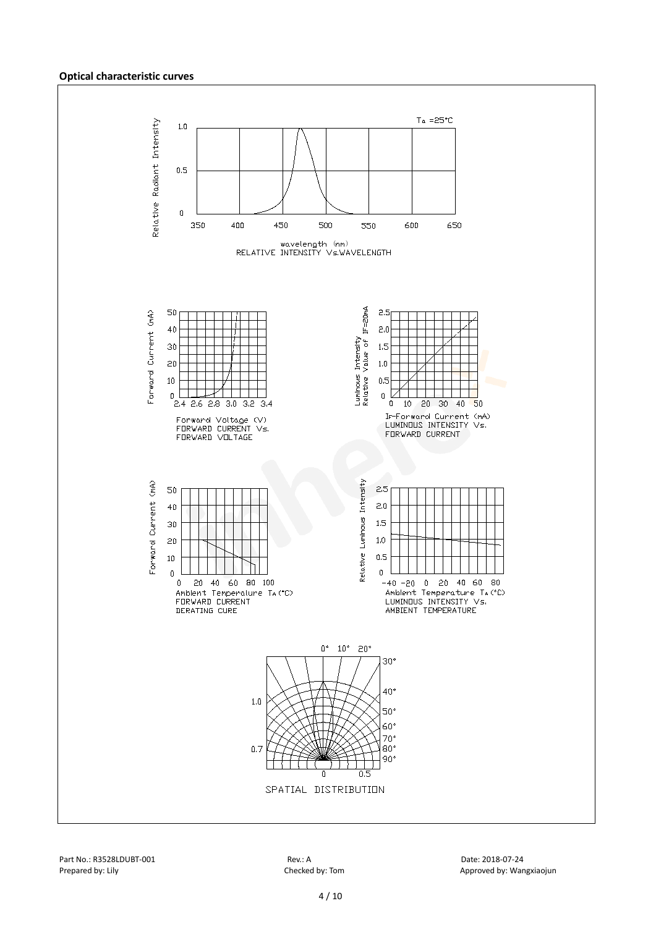#### **Optical characteristic curves**

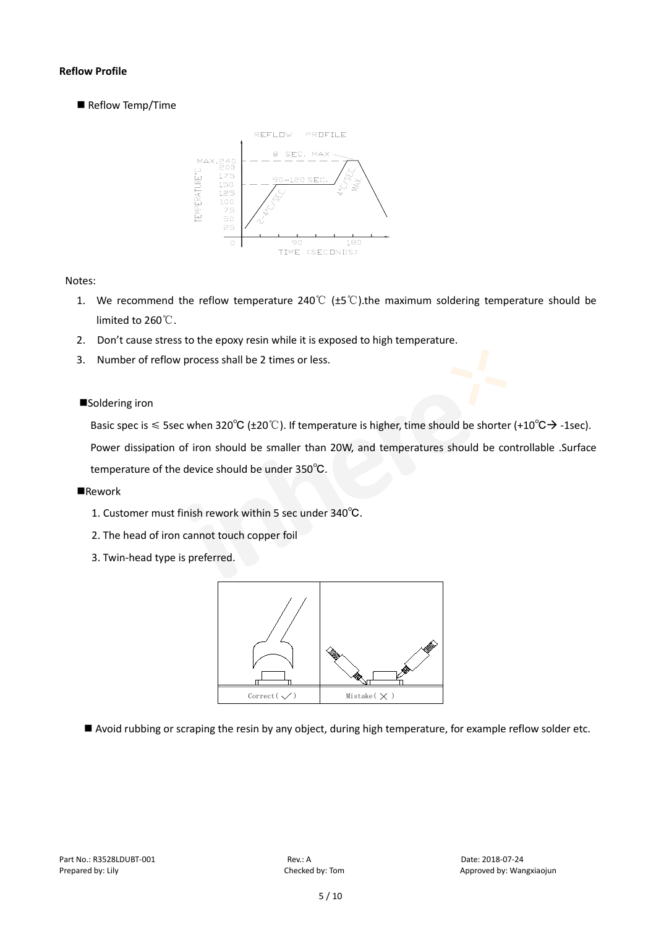#### **Reflow Profile**

Reflow Temp/Time



#### Notes:

- 1. We recommend the reflow temperature 240°C ( $\pm$ 5°C).the maximum soldering temperature should be limited to 260℃.
- 2. Don't cause stress to the epoxy resin while it is exposed to high temperature.
- 3. Number of reflow process shall be 2 times or less.

#### ■Soldering iron

Basic spec is  $\leq$  5sec when 320°C (±20°C). If temperature is higher, time should be shorter (+10°C $\rightarrow$ -1sec).

Power dissipation of iron should be smaller than 20W, and temperatures should be controllable .Surface temperature of the device should be under 350℃.

#### **Rework**

- 1. Customer must finish rework within 5 sec under 340℃.
- 2. The head of iron cannot touch copper foil
- 3. Twin-head type is preferred.



Avoid rubbing or scraping the resin by any object, during high temperature, for example reflow solder etc.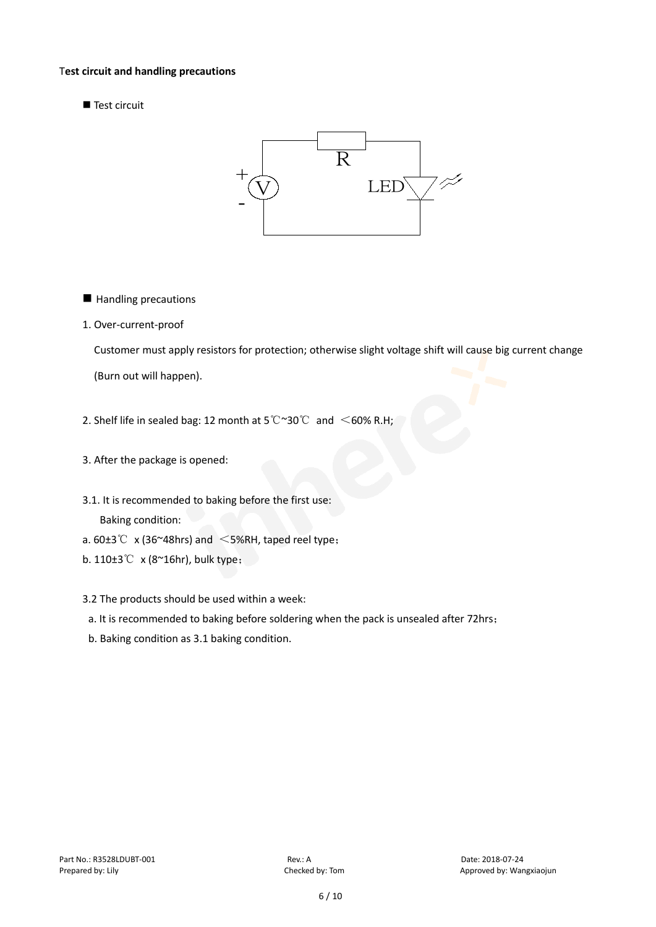#### T**est circuit and handling precautions**

Test circuit



- **Handling precautions**
- 1. Over-current-proof

Customer must apply resistors for protection; otherwise slight voltage shift will cause big current change

(Burn out will happen).

- 2. Shelf life in sealed bag: 12 month at 5℃~30℃ and <60% R.H;
- 3. After the package is opened:
- 3.1. It is recommended to baking before the first use: Baking condition:
- a.  $60±3^{\circ}$  x (36~48hrs) and <5%RH, taped reel type;
- b. 110±3℃ x (8~16hr), bulk type;
- 3.2 The products should be used within a week:
- a. It is recommended to baking before soldering when the pack is unsealed after 72hrs;
- b. Baking condition as 3.1 baking condition.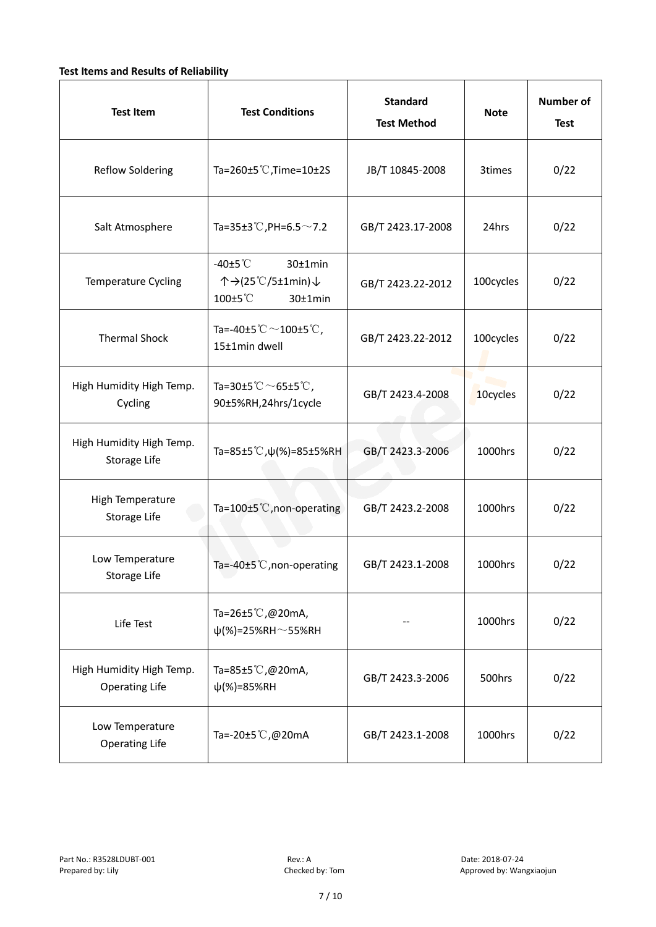#### **Test Items and Results of Reliability**

| <b>Test Item</b>                                  | <b>Standard</b><br><b>Test Conditions</b><br><b>Test Method</b>                |                                | <b>Note</b> | <b>Number of</b><br><b>Test</b> |
|---------------------------------------------------|--------------------------------------------------------------------------------|--------------------------------|-------------|---------------------------------|
| <b>Reflow Soldering</b>                           | Ta=260 $\pm$ 5 °C, Time=10 $\pm$ 2S<br>JB/T 10845-2008                         |                                | 3times      | 0/22                            |
| Salt Atmosphere                                   | Ta=35±3°C, PH=6.5 $\sim$ 7.2<br>GB/T 2423.17-2008                              |                                | 24hrs       | 0/22                            |
| Temperature Cycling                               | -40 $±5^{\circ}$ C<br>$30±1$ min<br>个→(25℃/5±1min)↓<br>100±5°C<br>$30±1$ min   | GB/T 2423.22-2012              | 100cycles   | 0/22                            |
| <b>Thermal Shock</b>                              | Ta=-40±5 $\degree \text{C}$ $\sim$ 100±5 $\degree \text{C}$ ,<br>15±1min dwell | 100cycles<br>GB/T 2423.22-2012 |             | 0/22                            |
| High Humidity High Temp.<br>Cycling               | Ta=30±5 °C $\sim$ 65±5 °C,<br>GB/T 2423.4-2008<br>90±5%RH,24hrs/1cycle         |                                | 10cycles    | 0/22                            |
| High Humidity High Temp.<br>Storage Life          | Ta=85±5 °C, $\psi$ (%)=85±5%RH                                                 | GB/T 2423.3-2006               | 1000hrs     | 0/22                            |
| High Temperature<br><b>Storage Life</b>           | Ta=100±5°C, non-operating                                                      | GB/T 2423.2-2008               | 1000hrs     | 0/22                            |
| Low Temperature<br>Storage Life                   | Ta=-40±5℃, non-operating                                                       | GB/T 2423.1-2008               | 1000hrs     | 0/22                            |
| Life Test                                         | Ta=26±5℃,@20mA,<br>$\psi$ (%)=25%RH~55%RH                                      |                                | 1000hrs     | 0/22                            |
| High Humidity High Temp.<br><b>Operating Life</b> | Ta=85±5 $\degree$ C, @20mA,<br>$\psi$ (%)=85%RH                                | GB/T 2423.3-2006               | 500hrs      | 0/22                            |
| Low Temperature<br><b>Operating Life</b>          | Ta=-20±5℃,@20mA                                                                | GB/T 2423.1-2008               | 1000hrs     | 0/22                            |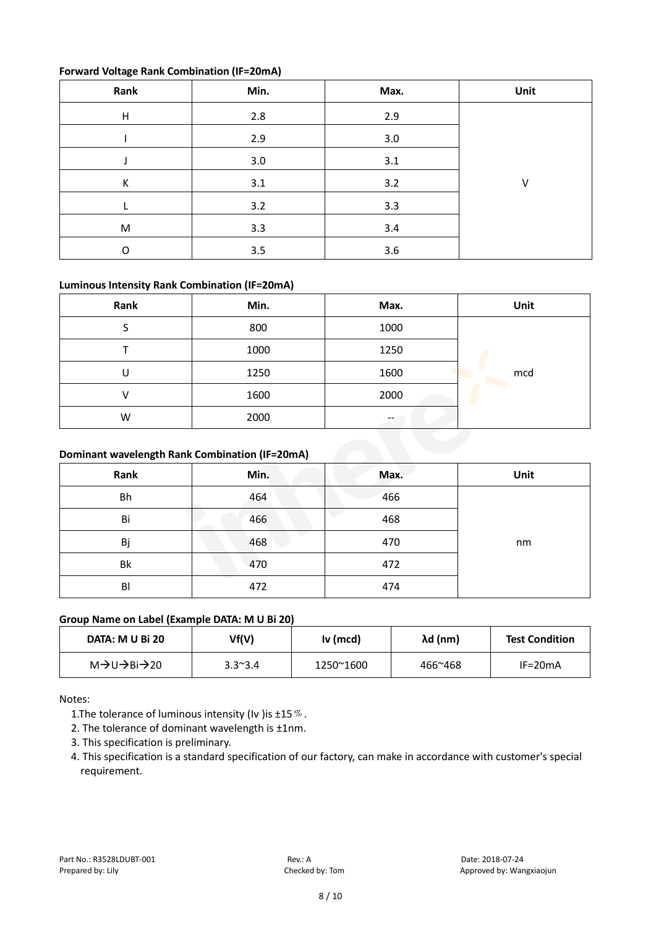#### **Forward Voltage Rank Combination (IF=20mA)**

| Rank      | Min. | Max.    | Unit   |
|-----------|------|---------|--------|
| H         | 2.8  | 2.9     |        |
|           | 2.9  | $3.0\,$ |        |
|           | 3.0  | 3.1     |        |
| К         | 3.1  | 3.2     | $\vee$ |
|           | 3.2  | 3.3     |        |
| ${\sf M}$ | 3.3  | 3.4     |        |
| O         | 3.5  | 3.6     |        |

#### **Luminous Intensity Rank Combination (IF=20mA)**

| Rank                                           | Min. | Max. | Unit |
|------------------------------------------------|------|------|------|
| S                                              | 800  | 1000 |      |
|                                                | 1000 | 1250 |      |
| U                                              | 1250 | 1600 | mcd  |
| V                                              | 1600 | 2000 |      |
| W                                              | 2000 |      |      |
| Dominant wavelength Rank Combination (IF=20mA) |      |      |      |

#### **Dominant wavelength Rank Combination (IF=20mA)**

| Rank | Min. | Max. | Unit |
|------|------|------|------|
| Bh   | 464  | 466  |      |
| Bi   | 466  | 468  |      |
| Bj   | 468  | 470  | nm   |
| Bk   | 470  | 472  |      |
| BI   | 472  | 474  |      |

#### **Group Name on Label (Example DATA: M U Bi 20)**

| DATA: M U Bi 20                                     | Vf(V)           | Iv (mcd)  | λd (nm) | <b>Test Condition</b> |
|-----------------------------------------------------|-----------------|-----------|---------|-----------------------|
| M $\rightarrow$ U $\rightarrow$ Bi $\rightarrow$ 20 | $3.3^{\sim}3.4$ | 1250~1600 | 466~468 | $IF=20mA$             |

Notes:

1. The tolerance of luminous intensity (Iv ) is  $\pm 15\%$ .

2. The tolerance of dominant wavelength is ±1nm.

3. This specification is preliminary.

4. This specification is a standard specification of our factory, can make in accordance with customer's special requirement.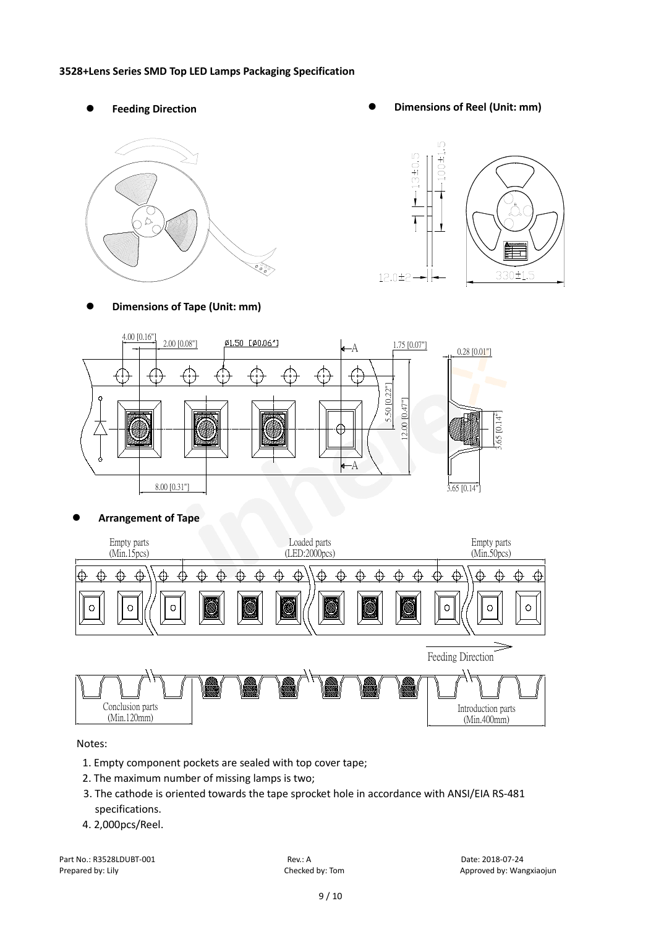#### **3528+Lens Series SMD Top LED Lamps Packaging Specification**

- 
- Feeding Direction **by the Contract Contract Contract Contract Contract Contract Contract Contract Contract Contract Contract Contract Contract Contract Contract Contract Contract Contract Contract Contract Contract Cont**



**Dimensions of Tape (Unit: mm)**





**Arrangement of Tape**



Notes:

- 1. Empty component pockets are sealed with top cover tape;
- 2. The maximum number of missing lamps is two;
- 3. The cathode is oriented towards the tape sprocket hole in accordance with ANSI/EIA RS-481 specifications.
- 4. 2,000pcs/Reel.

Part No.: R3528LDUBT-001 Rev.: A Rev.: A Date: 2018-07-24<br>Prepared by: Lily Prepared by: Lily Checked by: Tom Checked by: Tom Approved by: War